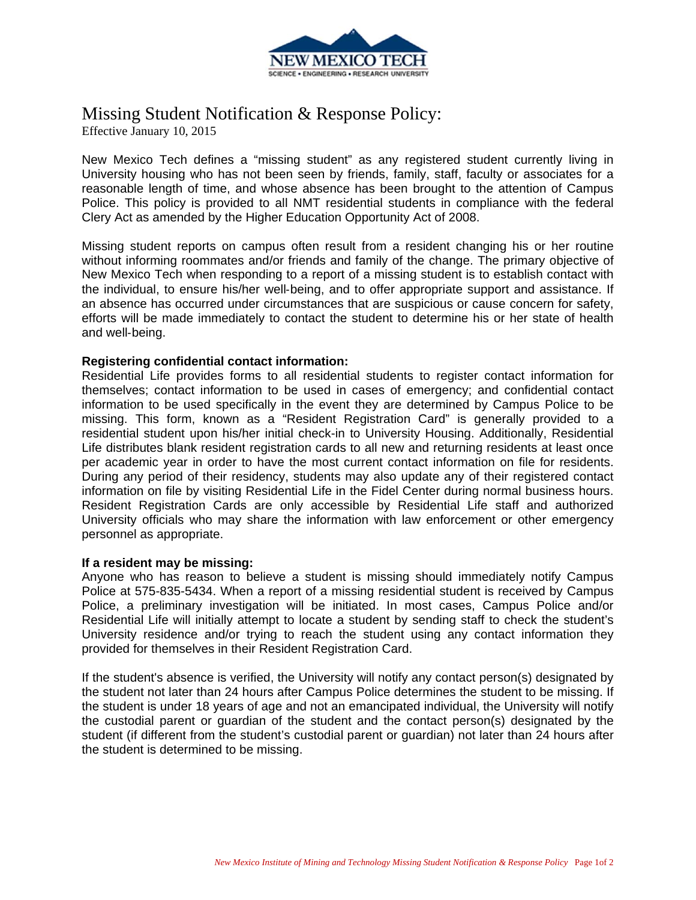

# Missing Student Notification & Response Policy:

Effective January 10, 2015

New Mexico Tech defines a "missing student" as any registered student currently living in University housing who has not been seen by friends, family, staff, faculty or associates for a reasonable length of time, and whose absence has been brought to the attention of Campus Police. This policy is provided to all NMT residential students in compliance with the federal Clery Act as amended by the Higher Education Opportunity Act of 2008.

Missing student reports on campus often result from a resident changing his or her routine without informing roommates and/or friends and family of the change. The primary objective of New Mexico Tech when responding to a report of a missing student is to establish contact with the individual, to ensure his/her well‐being, and to offer appropriate support and assistance. If an absence has occurred under circumstances that are suspicious or cause concern for safety, efforts will be made immediately to contact the student to determine his or her state of health and well‐being.

## **Registering confidential contact information:**

Residential Life provides forms to all residential students to register contact information for themselves; contact information to be used in cases of emergency; and confidential contact information to be used specifically in the event they are determined by Campus Police to be missing. This form, known as a "Resident Registration Card" is generally provided to a residential student upon his/her initial check-in to University Housing. Additionally, Residential Life distributes blank resident registration cards to all new and returning residents at least once per academic year in order to have the most current contact information on file for residents. During any period of their residency, students may also update any of their registered contact information on file by visiting Residential Life in the Fidel Center during normal business hours. Resident Registration Cards are only accessible by Residential Life staff and authorized University officials who may share the information with law enforcement or other emergency personnel as appropriate.

### **If a resident may be missing:**

Anyone who has reason to believe a student is missing should immediately notify Campus Police at 575-835-5434. When a report of a missing residential student is received by Campus Police, a preliminary investigation will be initiated. In most cases, Campus Police and/or Residential Life will initially attempt to locate a student by sending staff to check the student's University residence and/or trying to reach the student using any contact information they provided for themselves in their Resident Registration Card.

If the student's absence is verified, the University will notify any contact person(s) designated by the student not later than 24 hours after Campus Police determines the student to be missing. If the student is under 18 years of age and not an emancipated individual, the University will notify the custodial parent or guardian of the student and the contact person(s) designated by the student (if different from the student's custodial parent or guardian) not later than 24 hours after the student is determined to be missing.